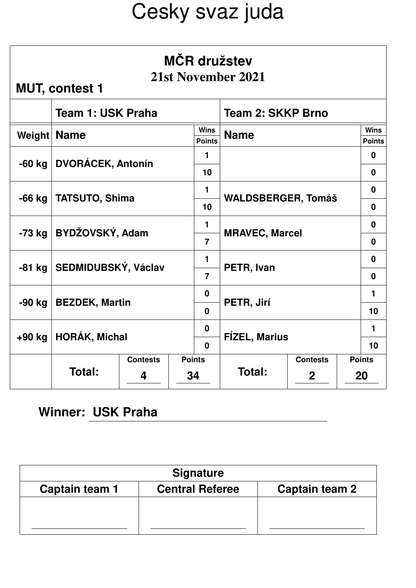| <b>MČR</b> družstev<br>21st November 2021<br><b>MUT, contest 1</b> |                            |                 |               |                              |                           |                 |                              |  |
|--------------------------------------------------------------------|----------------------------|-----------------|---------------|------------------------------|---------------------------|-----------------|------------------------------|--|
|                                                                    | Team 1: USK Praha          |                 |               |                              | <b>Team 2: SKKP Brno</b>  |                 |                              |  |
| Weight                                                             | <b>Name</b>                |                 |               | <b>Wins</b><br><b>Points</b> | <b>Name</b>               |                 | <b>Wins</b><br><b>Points</b> |  |
| $-60$ kg                                                           | <b>DVORÁCEK, Antonín</b>   |                 |               | $\mathbf{1}$                 |                           |                 | $\mathbf 0$                  |  |
|                                                                    |                            |                 |               | 10                           |                           | $\mathbf 0$     |                              |  |
| -66 kg                                                             |                            |                 |               | $\mathbf{1}$                 | <b>WALDSBERGER, Tomáš</b> | $\mathbf 0$     |                              |  |
|                                                                    | <b>TATSUTO, Shima</b>      |                 |               | 10                           |                           | $\mathbf 0$     |                              |  |
| $-73$ kg                                                           | BYDŽOVSKÝ, Adam            |                 |               | $\mathbf{1}$                 | <b>MRAVEC, Marcel</b>     | $\mathbf{0}$    |                              |  |
|                                                                    |                            |                 |               | $\overline{7}$               |                           | $\mathbf 0$     |                              |  |
|                                                                    | -81 kg SEDMIDUBSKÝ, Václav |                 |               | $\mathbf{1}$                 |                           | $\bf{0}$        |                              |  |
|                                                                    |                            |                 |               | $\overline{7}$               | PETR, Ivan                | $\mathbf 0$     |                              |  |
|                                                                    |                            |                 |               | $\mathbf 0$                  |                           | 1               |                              |  |
| -90 kg                                                             | <b>BEZDEK, Martin</b>      |                 |               | $\bf{0}$                     | PETR, Jirí                | 10              |                              |  |
|                                                                    |                            |                 |               | $\mathbf 0$                  |                           |                 |                              |  |
| $+90$ kg                                                           | <b>HORÁK, Michal</b>       |                 |               | $\mathbf{0}$                 | <b>FÍZEL, Marius</b>      | 10              |                              |  |
|                                                                    |                            | <b>Contests</b> | <b>Points</b> |                              |                           | <b>Contests</b> | <b>Points</b>                |  |
|                                                                    | Total:                     | 34<br>4         |               |                              | Total:                    | $\mathbf{2}$    | 20                           |  |

### **Winner: USK Praha**

| <b>Signature</b> |                        |                |  |  |  |  |  |
|------------------|------------------------|----------------|--|--|--|--|--|
| Captain team 1   | <b>Central Referee</b> | Captain team 2 |  |  |  |  |  |
|                  |                        |                |  |  |  |  |  |
|                  |                        |                |  |  |  |  |  |
|                  |                        |                |  |  |  |  |  |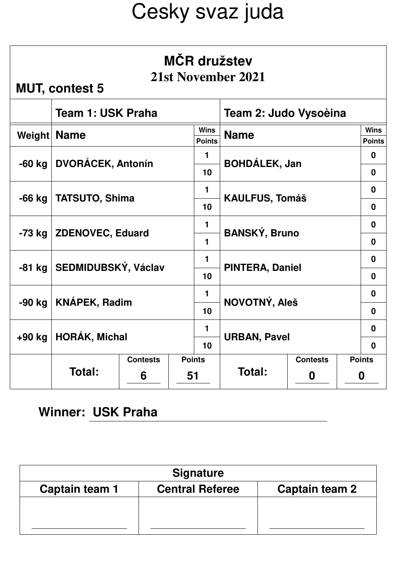| <b>MČR</b> družstev<br>21st November 2021<br><b>MUT, contest 5</b> |                                |                 |               |                              |                        |                 |                              |  |
|--------------------------------------------------------------------|--------------------------------|-----------------|---------------|------------------------------|------------------------|-----------------|------------------------------|--|
|                                                                    | Team 1: USK Praha              |                 |               |                              | Team 2: Judo Vysoèina  |                 |                              |  |
| Weight   Name                                                      |                                |                 |               | <b>Wins</b><br><b>Points</b> | <b>Name</b>            |                 | <b>Wins</b><br><b>Points</b> |  |
|                                                                    | -60 kg   DVORÁCEK, Antonín     |                 |               | $\mathbf{1}$                 | <b>BOHDÁLEK, Jan</b>   | 0               |                              |  |
|                                                                    |                                |                 |               | 10                           |                        | $\bf{0}$        |                              |  |
| -66 kg                                                             | <b>TATSUTO, Shima</b>          |                 |               | $\mathbf{1}$                 | <b>KAULFUS, Tomáš</b>  | $\bf{0}$        |                              |  |
|                                                                    |                                |                 |               | 10                           |                        | $\mathbf{0}$    |                              |  |
|                                                                    | -73 kg   ZDENOVEC, Eduard      |                 |               | $\blacksquare$               | <b>BANSKÝ, Bruno</b>   | $\mathbf{0}$    |                              |  |
|                                                                    |                                |                 |               | 1                            |                        | $\mathbf{0}$    |                              |  |
|                                                                    | -81 kg SEDMIDUBSKÝ, Václav     |                 |               | 1                            | <b>PINTERA, Daniel</b> |                 |                              |  |
|                                                                    |                                |                 |               | 10                           |                        | $\mathbf 0$     |                              |  |
| -90 kg                                                             | <b>KNÁPEK, Radim</b>           |                 |               | $\mathbf{1}$                 |                        |                 |                              |  |
|                                                                    |                                |                 |               | 10                           | NOVOTNÝ, Aleš          |                 |                              |  |
|                                                                    | <b>HORÁK, Michal</b><br>+90 kg |                 |               | $\mathbf{1}$                 |                        |                 |                              |  |
|                                                                    |                                |                 |               | 10                           | <b>URBAN, Pavel</b>    |                 | $\mathbf 0$                  |  |
|                                                                    |                                | <b>Contests</b> | <b>Points</b> |                              |                        | <b>Contests</b> | <b>Points</b>                |  |
|                                                                    | Total:                         | 6               | 51            |                              | Total:                 | 0               | 0                            |  |

### **Winner: USK Praha**

| <b>Signature</b> |                        |                |  |  |  |  |  |
|------------------|------------------------|----------------|--|--|--|--|--|
| Captain team 1   | <b>Central Referee</b> | Captain team 2 |  |  |  |  |  |
|                  |                        |                |  |  |  |  |  |
|                  |                        |                |  |  |  |  |  |
|                  |                        |                |  |  |  |  |  |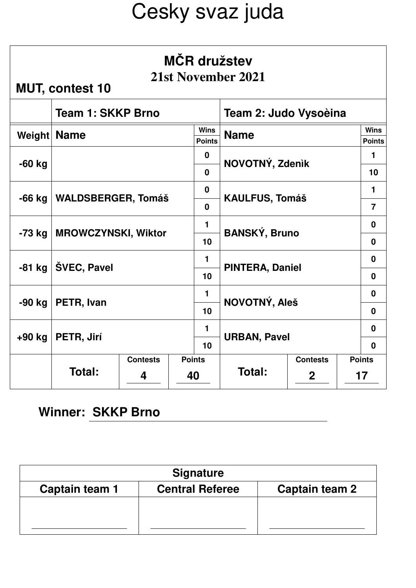| <b>MČR</b> družstev<br>21st November 2021<br><b>MUT, contest 10</b> |                              |                 |               |                              |                        |                |                              |  |
|---------------------------------------------------------------------|------------------------------|-----------------|---------------|------------------------------|------------------------|----------------|------------------------------|--|
|                                                                     | <b>Team 1: SKKP Brno</b>     |                 |               |                              | Team 2: Judo Vysoèina  |                |                              |  |
| Weight                                                              | <b>Name</b>                  |                 |               | <b>Wins</b><br><b>Points</b> | <b>Name</b>            |                | <b>Wins</b><br><b>Points</b> |  |
|                                                                     |                              |                 |               | $\mathbf 0$                  | NOVOTNÝ, Zdenik        | 1              |                              |  |
| $-60$ kg                                                            |                              |                 |               | $\bf{0}$                     |                        | 10             |                              |  |
|                                                                     | -66 kg   WALDSBERGER, Tomáš  |                 |               | $\mathbf 0$                  | <b>KAULFUS, Tomáš</b>  | $\mathbf{1}$   |                              |  |
|                                                                     |                              |                 |               | $\bf{0}$                     |                        | $\overline{7}$ |                              |  |
|                                                                     | -73 kg   MROWCZYNSKI, Wiktor |                 |               | $\mathbf{1}$                 | <b>BANSKÝ, Bruno</b>   | $\bf{0}$       |                              |  |
|                                                                     |                              |                 |               | 10                           |                        | $\mathbf{0}$   |                              |  |
|                                                                     | -81 kg $\vert$ ŠVEC, Pavel   |                 |               | 1                            | <b>PINTERA, Daniel</b> |                |                              |  |
|                                                                     |                              |                 |               | 10                           |                        | $\mathbf 0$    |                              |  |
| -90 kg                                                              | PETR, Ivan                   |                 |               | $\mathbf{1}$                 | NOVOTNÝ, Aleš          | $\bf{0}$       |                              |  |
|                                                                     |                              |                 |               | 10                           |                        | $\mathbf{0}$   |                              |  |
|                                                                     |                              |                 | $\mathbf{1}$  |                              |                        |                |                              |  |
| +90 kg                                                              | PETR, Jirí                   |                 |               | 10                           | <b>URBAN, Pavel</b>    |                | $\mathbf{0}$                 |  |
|                                                                     |                              | <b>Contests</b> | <b>Points</b> |                              | <b>Contests</b>        |                | <b>Points</b>                |  |
|                                                                     | Total:                       | 40<br>4         |               |                              | Total:                 | $\mathbf 2$    | 17                           |  |

#### **Winner: SKKP Brno**

| <b>Signature</b> |                        |                |  |  |  |  |  |
|------------------|------------------------|----------------|--|--|--|--|--|
| Captain team 1   | <b>Central Referee</b> | Captain team 2 |  |  |  |  |  |
|                  |                        |                |  |  |  |  |  |
|                  |                        |                |  |  |  |  |  |
|                  |                        |                |  |  |  |  |  |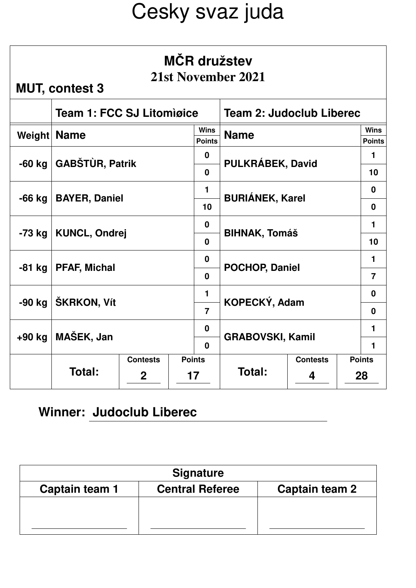| MČR družstev<br>21st November 2021<br><b>MUT, contest 3</b> |                                  |                 |               |                              |                                 |                 |                              |  |
|-------------------------------------------------------------|----------------------------------|-----------------|---------------|------------------------------|---------------------------------|-----------------|------------------------------|--|
|                                                             | <b>Team 1: FCC SJ Litomigice</b> |                 |               |                              | <b>Team 2: Judoclub Liberec</b> |                 |                              |  |
| Weight                                                      | <b>Name</b>                      |                 |               | <b>Wins</b><br><b>Points</b> | <b>Name</b>                     |                 | <b>Wins</b><br><b>Points</b> |  |
| $-60$ kg                                                    | <b>GABŠTÙR, Patrik</b>           |                 |               | $\mathbf 0$                  |                                 | 1               |                              |  |
|                                                             |                                  |                 |               | $\mathbf{0}$                 | PULKRÁBEK, David                |                 |                              |  |
| $-66$ kg                                                    | <b>BAYER, Daniel</b>             |                 |               | $\blacksquare$               | <b>BURIÁNEK, Karel</b>          |                 |                              |  |
|                                                             |                                  |                 |               | 10                           |                                 |                 |                              |  |
| -73 kg                                                      | KUNCL, Ondrej                    |                 |               | $\mathbf 0$                  | <b>BIHNAK, Tomáš</b>            |                 |                              |  |
|                                                             |                                  |                 |               | $\bf{0}$                     |                                 |                 |                              |  |
| -81 kg                                                      | <b>PFAF, Michal</b>              |                 |               | $\bf{0}$                     | <b>POCHOP, Daniel</b>           |                 |                              |  |
|                                                             |                                  |                 |               | $\mathbf{0}$                 |                                 |                 |                              |  |
| -90 kg                                                      | ŠKRKON, Vít                      |                 |               | $\blacksquare$               | KOPECKÝ, Adam                   |                 |                              |  |
|                                                             |                                  |                 |               | $\overline{7}$               |                                 |                 |                              |  |
| $+90$ kg                                                    | MAŠEK, Jan                       |                 |               | $\mathbf 0$                  | <b>GRABOVSKI, Kamil</b>         |                 |                              |  |
|                                                             |                                  |                 |               | $\Omega$                     |                                 |                 | $\mathbf{1}$                 |  |
|                                                             |                                  | <b>Contests</b> | <b>Points</b> |                              |                                 | <b>Contests</b> | <b>Points</b>                |  |
|                                                             | Total:                           | $\mathbf{2}$    |               | 17                           | Total:                          | 4               | 28                           |  |

| <b>Signature</b> |                        |                |  |  |  |  |  |
|------------------|------------------------|----------------|--|--|--|--|--|
| Captain team 1   | <b>Central Referee</b> | Captain team 2 |  |  |  |  |  |
|                  |                        |                |  |  |  |  |  |
|                  |                        |                |  |  |  |  |  |
|                  |                        |                |  |  |  |  |  |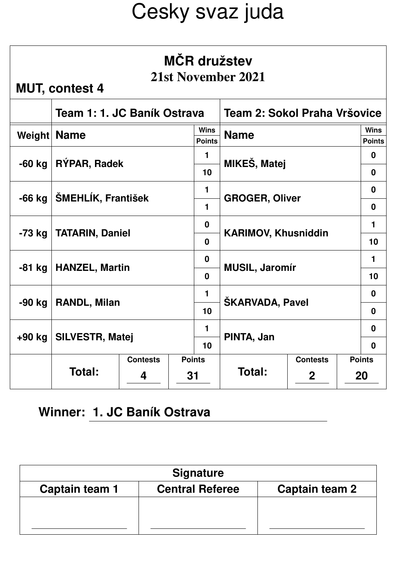| <b>MČR</b> družstev<br>21st November 2021<br><b>MUT, contest 4</b> |                                                             |                 |               |                              |                            |                 |               |                              |
|--------------------------------------------------------------------|-------------------------------------------------------------|-----------------|---------------|------------------------------|----------------------------|-----------------|---------------|------------------------------|
|                                                                    | Team 1: 1. JC Baník Ostrava<br>Team 2: Sokol Praha Vršovice |                 |               |                              |                            |                 |               |                              |
| Weight                                                             | <b>Name</b>                                                 |                 |               | <b>Wins</b><br><b>Points</b> | <b>Name</b>                |                 |               | <b>Wins</b><br><b>Points</b> |
|                                                                    |                                                             |                 |               | $\mathbf 1$                  |                            |                 |               | $\bf{0}$                     |
| $-60$ kg                                                           | RÝPAR, Radek                                                |                 |               | 10                           | MIKEŠ, Matej               |                 |               | $\mathbf 0$                  |
| $-66$ kg                                                           | ŠMEHLÍK, František                                          |                 |               | $\blacksquare$               | <b>GROGER, Oliver</b>      |                 |               | $\mathbf 0$                  |
|                                                                    |                                                             |                 |               | 1                            |                            |                 |               | $\mathbf 0$                  |
| -73 kg                                                             | <b>TATARIN, Daniel</b>                                      |                 |               | $\bf{0}$                     | <b>KARIMOV, Khusniddin</b> |                 |               | $\mathbf 1$                  |
|                                                                    |                                                             |                 |               | $\Omega$                     |                            |                 |               | 10                           |
| -81 kg                                                             | <b>HANZEL, Martin</b>                                       |                 |               | $\mathbf{0}$                 | <b>MUSIL, Jaromír</b>      |                 |               | $\blacksquare$               |
|                                                                    |                                                             |                 |               | $\Omega$                     |                            |                 |               | 10                           |
| -90 kg                                                             | <b>RANDL, Milan</b>                                         |                 |               | $\mathbf 1$                  | <b>ŠKARVADA, Pavel</b>     |                 |               | $\bf{0}$                     |
|                                                                    |                                                             |                 |               | 10                           |                            |                 |               | $\mathbf{0}$                 |
| +90 kg                                                             | <b>SILVESTR, Matej</b>                                      |                 |               | $\blacksquare$               | PINTA, Jan                 |                 |               | $\mathbf 0$                  |
|                                                                    |                                                             |                 | 10            |                              |                            |                 | $\mathbf{0}$  |                              |
|                                                                    | Total:                                                      | <b>Contests</b> | <b>Points</b> |                              | Total:                     | <b>Contests</b> | <b>Points</b> |                              |
|                                                                    |                                                             | 31<br>4         |               |                              |                            | $\mathbf{2}$    | 20            |                              |

#### **Winner: 1. JC Baník Ostrava**

| <b>Signature</b> |                        |                |  |  |  |  |  |
|------------------|------------------------|----------------|--|--|--|--|--|
| Captain team 1   | <b>Central Referee</b> | Captain team 2 |  |  |  |  |  |
|                  |                        |                |  |  |  |  |  |
|                  |                        |                |  |  |  |  |  |
|                  |                        |                |  |  |  |  |  |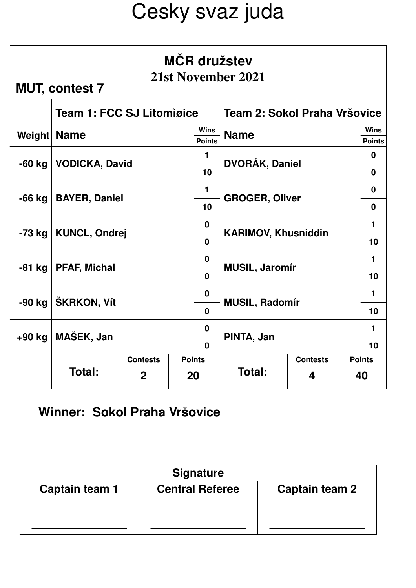| <b>MČR</b> družstev<br>21st November 2021<br><b>MUT, contest 7</b> |                                  |                 |               |                              |                              |                 |                              |                |
|--------------------------------------------------------------------|----------------------------------|-----------------|---------------|------------------------------|------------------------------|-----------------|------------------------------|----------------|
|                                                                    | <b>Team 1: FCC SJ Litomiøice</b> |                 |               |                              | Team 2: Sokol Praha Vršovice |                 |                              |                |
| Weight                                                             | <b>Name</b>                      |                 |               | <b>Wins</b><br><b>Points</b> | <b>Name</b>                  |                 | <b>Wins</b><br><b>Points</b> |                |
|                                                                    |                                  |                 |               | $\mathbf 1$                  |                              |                 | $\mathbf 0$                  |                |
| $-60$ kg                                                           | <b>VODICKA, David</b>            |                 |               | 10                           | DVORÁK, Daniel               |                 |                              | $\mathbf 0$    |
| -66 kg                                                             |                                  |                 |               | $\blacksquare$               | <b>GROGER, Oliver</b>        |                 |                              | $\mathbf{0}$   |
|                                                                    | <b>BAYER, Daniel</b>             |                 |               | 10                           |                              |                 |                              | $\mathbf{0}$   |
| $-73$ kg                                                           | <b>KUNCL, Ondrej</b>             |                 |               | $\bf{0}$                     | <b>KARIMOV, Khusniddin</b>   |                 |                              | $\mathbf 1$    |
|                                                                    |                                  |                 |               | $\mathbf{0}$                 |                              |                 |                              | 10             |
| -81 kg                                                             | <b>PFAF, Michal</b>              |                 |               | $\mathbf 0$                  | <b>MUSIL, Jaromír</b>        |                 |                              | $\blacksquare$ |
|                                                                    |                                  |                 |               | $\mathbf{0}$                 |                              |                 |                              | 10             |
| -90 kg                                                             | ŠKRKON, Vít                      |                 |               | $\mathbf 0$                  | <b>MUSIL, Radomír</b>        |                 |                              | 1              |
|                                                                    |                                  |                 |               | $\mathbf{0}$                 |                              |                 |                              | 10             |
| $+90$ kg                                                           | MAŠEK, Jan                       |                 |               | $\mathbf 0$                  | PINTA, Jan                   |                 |                              | $\mathbf 1$    |
|                                                                    |                                  |                 | $\mathbf{0}$  |                              |                              | 10              |                              |                |
|                                                                    | Total:                           | <b>Contests</b> | <b>Points</b> |                              | Total:                       | <b>Contests</b> | <b>Points</b>                |                |
|                                                                    |                                  | $\mathbf{2}$    |               | 20                           |                              | 4               | 40                           |                |

#### **Winner: Sokol Praha Vršovice**

| <b>Signature</b> |                        |                |  |  |  |  |  |
|------------------|------------------------|----------------|--|--|--|--|--|
| Captain team 1   | <b>Central Referee</b> | Captain team 2 |  |  |  |  |  |
|                  |                        |                |  |  |  |  |  |
|                  |                        |                |  |  |  |  |  |
|                  |                        |                |  |  |  |  |  |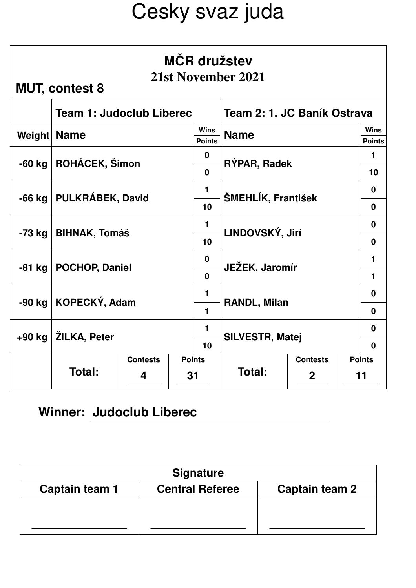| MČR družstev<br>21st November 2021<br><b>MUT, contest 8</b> |                                 |                 |    |                              |                             |                 |                              |
|-------------------------------------------------------------|---------------------------------|-----------------|----|------------------------------|-----------------------------|-----------------|------------------------------|
|                                                             | <b>Team 1: Judoclub Liberec</b> |                 |    |                              | Team 2: 1. JC Baník Ostrava |                 |                              |
| Weight                                                      | <b>Name</b>                     |                 |    | <b>Wins</b><br><b>Points</b> | <b>Name</b>                 |                 | <b>Wins</b><br><b>Points</b> |
|                                                             |                                 |                 |    | $\mathbf 0$                  |                             |                 | 1                            |
| $-60$ kg                                                    | ROHÁCEK, Šimon                  |                 |    | $\mathbf{0}$                 | RÝPAR, Radek                |                 |                              |
| $-66$ kg                                                    | <b>PULKRÁBEK, David</b>         |                 |    | 1                            | ŠMEHLÍK, František          |                 |                              |
|                                                             |                                 |                 |    | 10                           |                             |                 |                              |
| -73 kg                                                      | <b>BIHNAK, Tomáš</b>            |                 |    | 1                            | LINDOVSKÝ, Jirí             | $\bf{0}$        |                              |
|                                                             |                                 |                 |    | 10                           |                             | $\mathbf{0}$    |                              |
| $-81$ kg                                                    | <b>POCHOP, Daniel</b>           |                 |    | $\bf{0}$                     | JEŽEK, Jaromír              |                 |                              |
|                                                             |                                 |                 |    | $\mathbf{0}$                 |                             |                 |                              |
| $-90$ kg                                                    |                                 |                 |    | $\mathbf 1$                  |                             |                 |                              |
|                                                             | KOPECKÝ, Adam                   |                 |    | 1                            | RANDL, Milan                |                 |                              |
|                                                             |                                 |                 |    | $\blacksquare$               |                             |                 | $\bf{0}$                     |
| +90 kg                                                      | ŽILKA, Peter                    |                 | 10 | <b>SILVESTR, Matej</b>       |                             |                 |                              |
|                                                             |                                 | <b>Contests</b> |    | <b>Points</b>                |                             | <b>Contests</b> | <b>Points</b>                |
|                                                             | Total:                          | 4               | 31 |                              | Total:                      | $\mathbf 2$     | 11                           |

| <b>Signature</b> |                        |                |  |  |  |  |  |
|------------------|------------------------|----------------|--|--|--|--|--|
| Captain team 1   | <b>Central Referee</b> | Captain team 2 |  |  |  |  |  |
|                  |                        |                |  |  |  |  |  |
|                  |                        |                |  |  |  |  |  |
|                  |                        |                |  |  |  |  |  |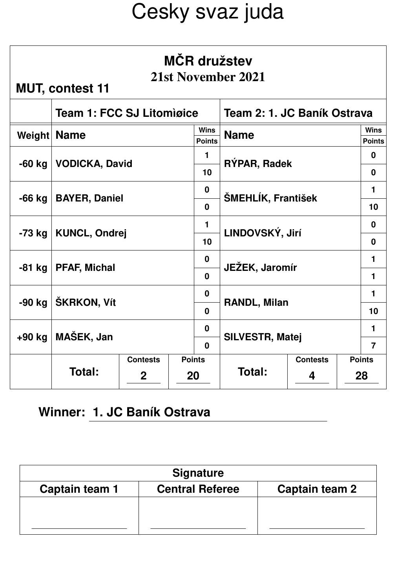| <b>MČR</b> družstev<br>21st November 2021<br><b>MUT, contest 11</b> |                                  |                 |               |                              |                             |                 |                              |                |
|---------------------------------------------------------------------|----------------------------------|-----------------|---------------|------------------------------|-----------------------------|-----------------|------------------------------|----------------|
|                                                                     | <b>Team 1: FCC SJ Litomiøice</b> |                 |               |                              | Team 2: 1. JC Baník Ostrava |                 |                              |                |
| Weight                                                              | <b>Name</b>                      |                 |               | <b>Wins</b><br><b>Points</b> | <b>Name</b>                 |                 | <b>Wins</b><br><b>Points</b> |                |
| $-60$ kg                                                            |                                  |                 |               | $\blacksquare$               |                             |                 | $\mathbf{0}$                 |                |
|                                                                     | <b>VODICKA, David</b>            |                 |               | 10                           | RÝPAR, Radek                |                 |                              | $\mathbf{0}$   |
| $-66$ kg                                                            | <b>BAYER, Daniel</b>             |                 |               | $\mathbf 0$                  | ŠMEHLÍK, František          |                 |                              | $\blacksquare$ |
|                                                                     |                                  |                 |               | $\mathbf{0}$                 |                             |                 |                              | 10             |
| -73 kg                                                              | <b>KUNCL, Ondrej</b>             |                 |               | $\blacksquare$               | LINDOVSKÝ, Jirí             | $\mathbf 0$     |                              |                |
|                                                                     |                                  |                 |               | 10                           |                             |                 |                              | $\mathbf{0}$   |
| -81 kg                                                              | <b>PFAF, Michal</b>              |                 |               | $\mathbf 0$                  | JEŽEK, Jaromír              |                 |                              | 1              |
|                                                                     |                                  |                 |               | $\Omega$                     |                             |                 |                              | $\mathbf{1}$   |
| -90 kg                                                              | ŠKRKON, Vít                      |                 |               | $\mathbf 0$                  | <b>RANDL, Milan</b>         |                 |                              | $\mathbf 1$    |
|                                                                     |                                  |                 |               | $\bf{0}$                     |                             |                 |                              | 10             |
| $+90$ kg                                                            | MAŠEK, Jan                       |                 |               | $\mathbf{0}$                 | <b>SILVESTR, Matej</b>      |                 | $\mathbf 1$                  |                |
|                                                                     |                                  |                 |               | $\Omega$                     |                             |                 | $\overline{7}$               |                |
|                                                                     | Total:                           | <b>Contests</b> | <b>Points</b> |                              | Total:                      | <b>Contests</b> | <b>Points</b>                |                |
|                                                                     |                                  | $\mathbf{2}$    |               | 20                           |                             | 4               | 28                           |                |

#### **Winner: 1. JC Baník Ostrava**

| <b>Signature</b> |                        |                |  |  |  |  |
|------------------|------------------------|----------------|--|--|--|--|
| Captain team 1   | <b>Central Referee</b> | Captain team 2 |  |  |  |  |
|                  |                        |                |  |  |  |  |
|                  |                        |                |  |  |  |  |
|                  |                        |                |  |  |  |  |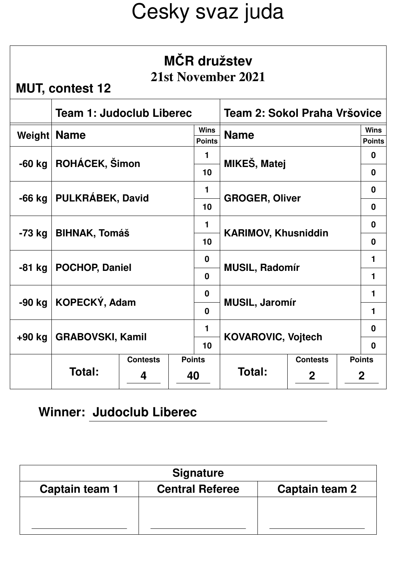| <b>MČR</b> družstev<br>21st November 2021<br><b>MUT, contest 12</b> |                                 |                 |    |                              |                              |                 |                              |             |
|---------------------------------------------------------------------|---------------------------------|-----------------|----|------------------------------|------------------------------|-----------------|------------------------------|-------------|
|                                                                     | <b>Team 1: Judoclub Liberec</b> |                 |    |                              | Team 2: Sokol Praha Vršovice |                 |                              |             |
| Weight                                                              | <b>Name</b>                     |                 |    | <b>Wins</b><br><b>Points</b> | <b>Name</b>                  |                 | <b>Wins</b><br><b>Points</b> |             |
| $-60$ kg                                                            |                                 |                 |    | $\mathbf{1}$                 | MIKEŠ, Matej                 |                 | $\bf{0}$                     |             |
|                                                                     | ROHÁCEK, Šimon                  |                 |    | 10                           |                              |                 |                              | $\bf{0}$    |
| -66 kg                                                              | PULKRÁBEK, David                |                 |    | $\mathbf{1}$                 | <b>GROGER, Oliver</b>        |                 |                              | $\mathbf 0$ |
|                                                                     |                                 |                 |    | 10                           |                              |                 |                              | $\mathbf 0$ |
| -73 kg                                                              | <b>BIHNAK, Tomáš</b>            |                 |    | $\mathbf{1}$                 | <b>KARIMOV, Khusniddin</b>   | $\mathbf 0$     |                              |             |
|                                                                     |                                 |                 |    | 10                           |                              |                 |                              | $\mathbf 0$ |
| $-81$ kg                                                            | <b>POCHOP, Daniel</b>           |                 |    | $\mathbf{0}$                 | <b>MUSIL, Radomír</b>        |                 |                              | 1           |
|                                                                     |                                 |                 |    | $\mathbf{0}$                 |                              |                 | $\mathbf{1}$                 |             |
| -90 kg                                                              |                                 |                 |    | $\mathbf{0}$                 |                              |                 |                              | 1           |
|                                                                     | KOPECKÝ, Adam                   |                 |    | $\bf{0}$                     | <b>MUSIL, Jaromír</b>        |                 |                              | 1           |
| $+90$ kg                                                            |                                 |                 |    | 1                            | <b>KOVAROVIC, Vojtech</b>    |                 | $\mathbf 0$                  |             |
|                                                                     | <b>GRABOVSKI, Kamil</b>         |                 | 10 | $\mathbf 0$                  |                              |                 |                              |             |
|                                                                     |                                 | <b>Contests</b> |    | <b>Points</b>                |                              | <b>Contests</b> | <b>Points</b>                |             |
|                                                                     | Total:                          | 4               | 40 |                              | Total:                       | $\mathbf{2}$    | $\mathbf{2}$                 |             |

| <b>Signature</b> |                        |                |  |  |  |  |  |
|------------------|------------------------|----------------|--|--|--|--|--|
| Captain team 1   | <b>Central Referee</b> | Captain team 2 |  |  |  |  |  |
|                  |                        |                |  |  |  |  |  |
|                  |                        |                |  |  |  |  |  |
|                  |                        |                |  |  |  |  |  |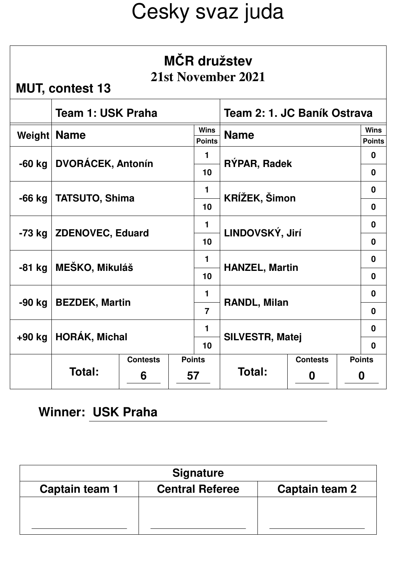| <b>MČR</b> družstev<br>21st November 2021<br><b>MUT, contest 13</b> |                          |                 |    |                              |                             |                 |                              |  |
|---------------------------------------------------------------------|--------------------------|-----------------|----|------------------------------|-----------------------------|-----------------|------------------------------|--|
|                                                                     | <b>Team 1: USK Praha</b> |                 |    |                              | Team 2: 1. JC Baník Ostrava |                 |                              |  |
| Weight                                                              | <b>Name</b>              |                 |    | <b>Wins</b><br><b>Points</b> | <b>Name</b>                 |                 | <b>Wins</b><br><b>Points</b> |  |
| $-60$ kg                                                            |                          |                 |    | $\mathbf 1$                  |                             |                 | $\mathbf 0$                  |  |
|                                                                     | <b>DVORÁCEK, Antonín</b> |                 |    | 10                           | RÝPAR, Radek                |                 |                              |  |
| $-66$ kg                                                            | <b>TATSUTO, Shima</b>    |                 |    | $\mathbf 1$                  | KRÍŽEK, Šimon               |                 |                              |  |
|                                                                     |                          |                 |    | 10                           |                             |                 |                              |  |
| -73 kg                                                              | <b>ZDENOVEC, Eduard</b>  |                 |    | $\mathbf{1}$                 | LINDOVSKÝ, Jirí             | $\mathbf 0$     |                              |  |
|                                                                     |                          |                 |    | 10                           |                             | $\mathbf 0$     |                              |  |
| -81 kg                                                              | <b>MEŠKO, Mikuláš</b>    |                 |    | 1                            | <b>HANZEL, Martin</b>       |                 |                              |  |
|                                                                     |                          |                 |    | 10                           |                             |                 | $\mathbf 0$                  |  |
| -90 kg                                                              |                          |                 |    | $\mathbf{1}$                 |                             |                 | $\bf{0}$                     |  |
|                                                                     | <b>BEZDEK, Martin</b>    |                 |    | $\overline{7}$               | <b>RANDL, Milan</b>         |                 |                              |  |
| +90 kg                                                              |                          |                 |    | 1                            |                             |                 | $\bf{0}$                     |  |
|                                                                     | <b>HORÁK, Michal</b>     |                 | 10 | <b>SILVESTR, Matej</b>       | $\mathbf{0}$                |                 |                              |  |
|                                                                     |                          | <b>Contests</b> |    | <b>Points</b>                |                             | <b>Contests</b> | <b>Points</b>                |  |
|                                                                     |                          | Total:<br>6     |    | 57                           | <b>Total:</b>               | 0               | 0                            |  |

### **Winner: USK Praha**

| <b>Signature</b> |                        |                |  |  |  |  |  |
|------------------|------------------------|----------------|--|--|--|--|--|
| Captain team 1   | <b>Central Referee</b> | Captain team 2 |  |  |  |  |  |
|                  |                        |                |  |  |  |  |  |
|                  |                        |                |  |  |  |  |  |
|                  |                        |                |  |  |  |  |  |